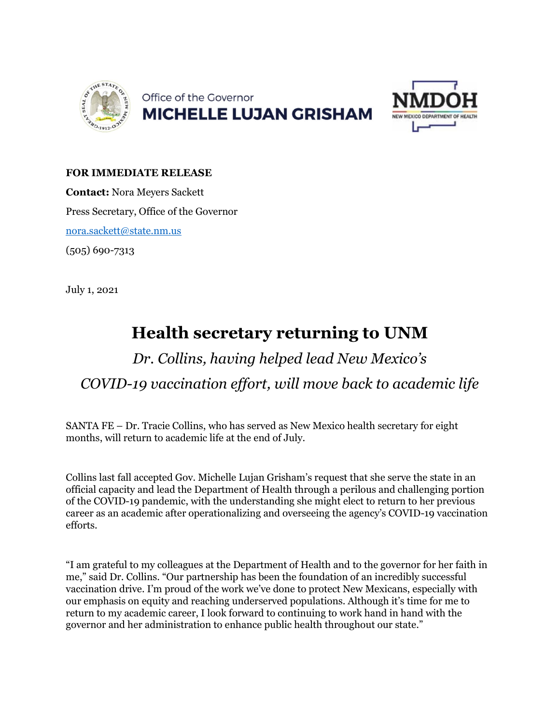



## **FOR IMMEDIATE RELEASE**

**Contact:** Nora Meyers Sackett Press Secretary, Office of the Governor [nora.sackett@state.nm.us](mailto:nora.sackett@state.nm.us) (505) 690-7313

July 1, 2021

## **Health secretary returning to UNM**

## *Dr. Collins, having helped lead New Mexico's COVID-19 vaccination effort, will move back to academic life*

SANTA FE – Dr. Tracie Collins, who has served as New Mexico health secretary for eight months, will return to academic life at the end of July.

Collins last fall accepted Gov. Michelle Lujan Grisham's request that she serve the state in an official capacity and lead the Department of Health through a perilous and challenging portion of the COVID-19 pandemic, with the understanding she might elect to return to her previous career as an academic after operationalizing and overseeing the agency's COVID-19 vaccination efforts.

"I am grateful to my colleagues at the Department of Health and to the governor for her faith in me," said Dr. Collins. "Our partnership has been the foundation of an incredibly successful vaccination drive. I'm proud of the work we've done to protect New Mexicans, especially with our emphasis on equity and reaching underserved populations. Although it's time for me to return to my academic career, I look forward to continuing to work hand in hand with the governor and her administration to enhance public health throughout our state."